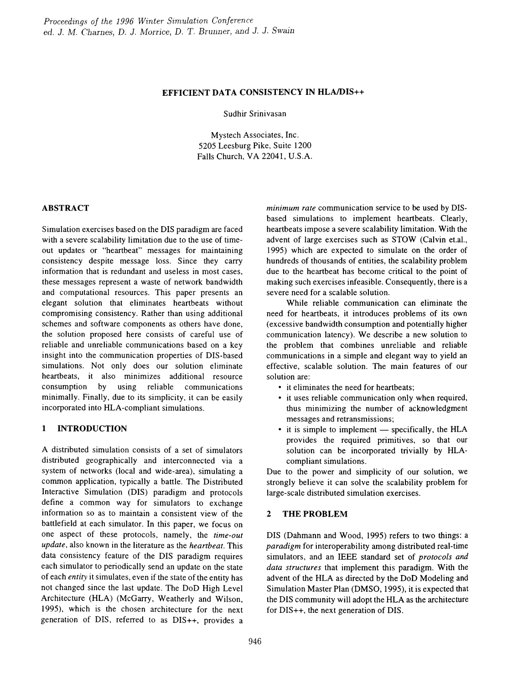# EFFICIENT DATA CONSISTENCY IN HLAJDIS++

Sudhir Srinivasan

Mystech Associates, Inc. 5205 Leesburg Pike, Suite 1200 Falls Church, VA 22041, U.S.A.

### ABSTRACT

Simulation exercises based on the DIS paradigm are faced with a severe scalability limitation due to the use of timeout updates or "heartbeat" messages for maintaining consistency despite message loss. Since they carry information that is redundant and useless in most cases, these messages represent a waste of network bandwidth and computational resources. This paper presents an elegant solution that eliminates heartbeats without compromising consistency. Rather than using additional schemes and software components as others have done, the solution proposed here consists of careful use of reliable and unreliable communications based on a key insight into the communication properties of DIS-based simulations. Not only does our solution eliminate heartbeats, it also minimizes additional resource consumption by using reliable communications minimally. Finally, due to its simplicity, it can be easily incorporated into HLA-compliant simulations.

# 1 INTRODUCTION

A distributed simulation consists of a set of simulators distributed geographically and interconnected via a system of networks (local and wide-area), simulating a common application, typically a battle. The Distributed Interactive Simulation (DIS) paradigm and protocols define a common way for simulators to exchange information so as to maintain a consistent view of the battlefield at each simulator. In this paper, we focus on one aspect of these protocols, namely, the *time-out update,* also known in the literature as the *heartbeat.* This data consistency feature of the DIS paradigm requires each simulator to periodically send an update on the state of each *entity* it simulates, even if the state of the entity has not changed since the last update. The DoD High Level Architecture (HLA) (McGarry, Weatherly and Wilson, 1995), which is the chosen architecture for the next generation of DIS, referred to as DIS++, provides a *minimum rate* communication service to be used by DISbased simulations to implement heartbeats. Clearly, heartbeats impose a severe scalability limitation. With the advent of large exercises such as STOW (Calvin et.a!., 1995) which are expected to simulate on the order of hundreds of thousands of entities, the scalability problem due to the heartbeat has become critical to the point of making such exercises infeasible. Consequently, there is a severe need for a scalable solution.

While reliable communication can eliminate the need for heartbeats, it introduces problems of its own (excessive bandwidth consumption and potentially higher communication latency). We describe a new solution to the problem that combines unreliable and reliable communications in a simple and elegant way to yield an effective, scalable solution. The main features of our solution are:

- it eliminates the need for heartbeats;
- it uses reliable communication only when required, thus minimizing the number of acknowledgment messages and retransmissions;
- $\bullet$  it is simple to implement specifically, the HLA provides the required primitives, so that our solution can be incorporated trivially by HLAcompliant simulations.

Due to the power and simplicity of our solution, we strongly believe it can solve the scalability problem for large-scale distributed simulation exercises.

# 2 THE PROBLEM

DIS (Dahmann and Wood, 1995) refers to two things: a *paradigm* for interoperability among distributed real-time simulators, and an IEEE standard set of *protocols and data structures* that implement this paradigm. With the advent of the HLA as directed by the DoD Modeling and Simulation Master Plan (DMSO, 1995), it is expected that the DIS community will adopt the HLA as the architecture for DIS++, the next generation of DIS.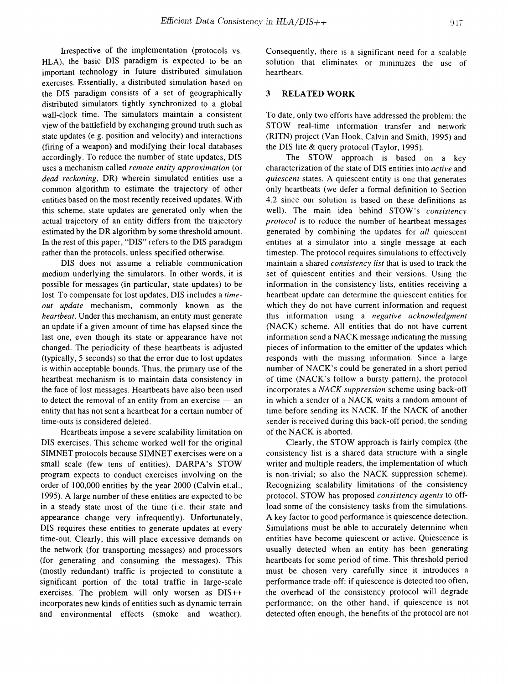Irrespective of the implementation (protocols vs. HLA), the basic DIS paradigm is expected to be an important technology in future distributed simulation exercises. Essentially, a distributed simulation based on the DIS paradigm consists of a set of geographically distributed simulators tightly synchronized to a global wall-clock time. The simulators maintain a consistent view of the battlefield by exchanging ground truth such as state updates (e.g. position and velocity) and interactions (firing of a weapon) and modifying their local databases accordingly. To reduce the number of state updates, DIS uses a mechanism called *remote entity approximation* (or *dead reckoning,* DR) wherein simulated entities use a common algorithm to estimate the trajectory of other entities based on the most recently received updates. With this scheme, state updates are generated only when the actual trajectory of an entity differs from the trajectory estimated by the DR algorithm by some threshold amount. In the rest of this paper, "DIS" refers to the DIS paradigm rather than the protocols, unless specified otherwise.

DIS does not assume a reliable communication medium underlying the simulators. In other words, it is possible for messages (in particular, state updates) to be lost. To compensate for lost updates, DIS includes a *timeout update* mechanism, commonly known as the *heartbeat.* Under this mechanism, an entity must generate an update if a given amount of time has elapsed since the last one, even though its state or appearance have not changed. The periodicity of these heartbeats is adjusted (typically, 5 seconds) so that the error due to lost updates is within acceptable bounds. Thus, the primary use of the heartbeat mechanism is to maintain data consistency in the face of lost messages. Heartbeats have also been used to detect the removal of an entity from an exercise  $-$  an entity that has not sent a heartbeat for a certain number of time-outs is considered deleted.

Heartbeats impose a severe scalability limitation on DIS exercises. This scheme worked well for the original SIMNET protocols because SIMNET exercises were on a small scale (few tens of entities). DARPA's STOW program expects to conduct exercises involving on the order of 100,000 entities by the year 2000 (Calvin et.a!., 1995). A large number of these entities are expected to be in a steady state most of the time (i.e. their state and appearance change very infrequently). Unfortunately, DIS requires these entities to generate updates at every time-out. Clearly, this will place excessive demands on the network (for transporting messages) and processors (for generating and consuming the messages). This (mostly redundant) traffic is projected to constitute a significant portion of the total traffic in large-scale exercises. The problem will only worsen as DIS++ incorporates new kinds of entities such as dynamic terrain and environmental effects (smoke and weather).

Consequently, there is a significant need for a scalable solution that eliminates or minimizes the use of heartbeats.

#### 3 RELATED WORK

To date, only two efforts have addressed the problem: the STOW real-time information transfer and network (RITN) project (Van Hook, Calvin and Smith, 1995) and the DIS lite & query protocol (Taylor, 1995).

The STOW approach is based on a key characterization of the state of DIS entities into *active* and *quiescent* states. A quiescent entity is one that generates only heartbeats (we defer a formal definition to Section 4.2 since our solution is based on these definitions as well). The main idea behind STOW's *consistency protocol* is to reduce the number of heartbeat messages generated by combining the updates for *all* quiescent entities at a simulator into a single message at each timestep. The protocol requires simulations to effectively maintain a shared *consistency list* that is used to track the set of quiescent entities and their versions. Using the information in the consistency lists, entities receiving a heartbeat update can determine the quiescent entities for which they do not have current information and request this information using a *negative acknowledgment* (NACK) scheme. All entities that do not have current information send a NACK message indicating the missing pieces of information to the emitter of the updates which responds with the missing information. Since a large number of NACK's could be generated in a short period of time (NACK's follow a bursty pattern), the protocol incorporates a *NACK suppression* scheme using back-off in which a sender of a NACK waits a random amount of time before sending its NACK. If the NACK of another sender is received during this back-off period, the sending of the NACK is aborted.

Clearly, the STOW approach is fairly complex (the consistency list is a shared data structure with a single writer and multiple readers, the implementation of which is non-trivial; so also the NACK suppression scheme). Recognizing scalability limitations of the consistency protocol, STOW has proposed *consistency agents* to offload some of the consistency tasks from the simulations. A key factor to good performance is quiescence detection. Simulations must be able to accurately determine when entities have become quiescent or active. Quiescence is usually detected when an entity has been generating heartbeats for some period of time. This threshold period must be chosen very carefully since it introduces a performance trade-off: if quiescence is detected too often, the overhead of the consistency protocol will degrade performance; on the other hand, if quiescence is not detected often enough, the benefits of the protocol are not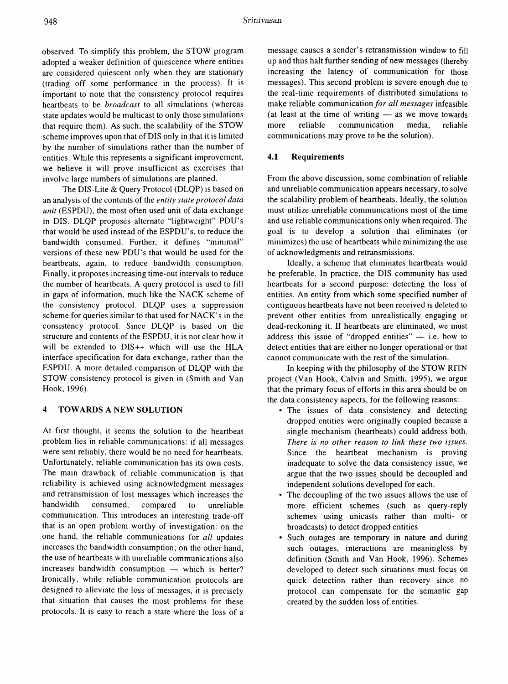observed. To simplify this problem, the STOW program adopted a weaker definition of quiescence where entities are considered quiescent only when they are stationary (trading off some performance in the process). It is important to note that the consistency protocol requires heartbeats to be *broadcast* to all simulations (whereas state updates would be multicast to only those simulations that require them). As such, the scalability of the STOW scheme improves upon that of DIS only in that it is limited by the number of simulations rather than the number of entities. While this represents a significant improvement, we believe it will prove insufficient as exercises that involve large numbers of simulations are planned.

The DIS-Lite & Query Protocol (DLQP) is based on an analysis of the contents of the *entity state protocol data unit* (ESPDU), the most often used unit of data exchange in DIS. DLQP proposes alternate "lightweight" POU's that would be used instead of the ESPOU's, to reduce the bandwidth consumed. Further, it defines "minimal" versions of these new POU's that would be used for the heartbeats, again, to reduce bandwidth consumption. Finally, it proposes increasing time-out intervals to reduce the number of heartbeats. A query protocol is used to fill in gaps of information, much like the NACK scheme of the consistency protocol. DLQP uses a suppression scheme for queries similar to that used for NACK's in the consistency protocol. Since OLQP is based on the structure and contents of the ESPOU, it is not clear how it will be extended to DIS++ which will use the HLA interface specification for data exchange, rather than the ESPDU. A more detailed comparison of OLQP with the STOW consistency protocol is given in (Smith and Van Hook, 1996).

# 4 TOWARDS A NEW SOLUTION

At first thought, it seems the solution to the heartbeat problem lies in reliable communications: if all messages were sent reliably, there would be no need for heartbeats. Unfortunately, reliable communication has its own costs. The main drawback of reliable communication is that reliability is achieved using acknowledgment messages and retransmission of lost messages which increases the bandwidth consumed, compared to unreliable communication. This introduces an interesting trade-off that is an open problem worthy of investigation: on the one hand, the reliable communications for *all* updates increases the bandwidth consumption; on the other hand, the use of heartbeats with unreliable communications also  $increases$  bandwidth consumption  $-$  which is better? Ironically, while reliable communication protocols are designed to alleviate the loss of messages, it is precisely that situation that causes the most problems for these protocols. It is easy to reach a state where the loss of a

message causes a sender's retransmission window to fill up and thus halt further sending of new messages (thereby increasing the latency of communication for those messages). This second problem is severe enough due to the real-time requirements of distributed simulations to make reliable communication *for all messages* infeasible (at least at the time of writing  $-$  as we move towards more reliable communication media, reliable communications may prove to be the solution).

#### 4.1 Requirements

From the above discussion, some combination of reliable and unreliable communication appears necessary, to solve the scalability problem of heartbeats. Ideally, the solution must utilize unreliable communications most of the time and use reliable communications only when required. The goal is to develop a solution that eliminates (or minimizes) the use of heartbeats while minimizing the use of acknowledgments and retransmissions.

Ideally, a scheme that eliminates heartbeats would be preferable. In practice, the DIS community has used heartbeats for a second purpose: detecting the loss of entities. An entity from which some specified number of contiguous heartbeats have not been received is deleted to prevent other entities from unrealistically engaging or dead-reckoning it. If heartbeats are eliminated, we must address this issue of "dropped entities"  $-$  i.e. how to detect entities that are either no longer operational or that cannot communicate with the rest of the simulation.

In keeping with the philosophy of the STOW RITN project (Van Hook, Calvin and Smith, 1995), we argue that the primary focus of efforts in this area should be on the data consistency aspects, for the following reasons:

- The issues of data consistency and detecting dropped entities were originally coupled because a single mechanism (heartbeats) could address both. *There is no other reason to link these two issues.* Since the heartbeat mechanism is proving inadequate to solve the data consistency issue, we argue that the two issues should be decoupled and independent solutions developed for each.
- The decoupling of the two issues allows the use of more efficient schemes (such as query-reply schemes using unicasts rather than multi-or broadcasts) to detect dropped entities
- Such outages are temporary in nature and during such outages, interactions are meaningless by definition (Smith and Van Hook, 1996). Schemes developed to detect such situations must focus on quick detection rather than recovery since no protocol can compensate for the semantic gap created by the sudden loss of entities.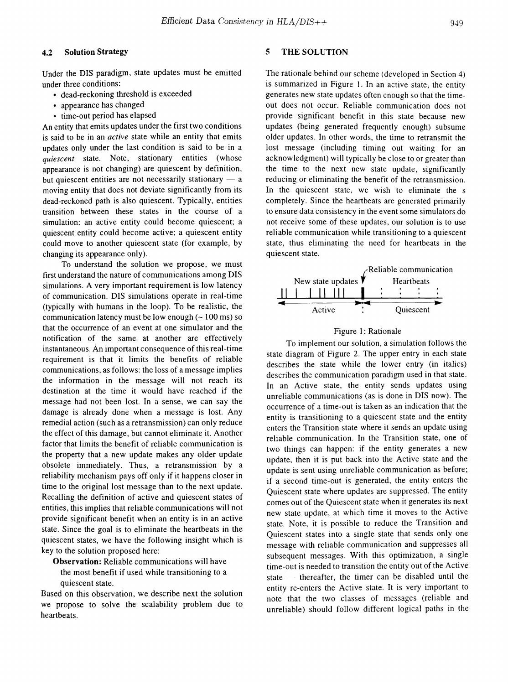#### 949

### 4.2 Solution Strategy

Under the DIS paradigm, state updates must be emitted under three conditions:

- dead-reckoning threshold is exceeded
- appearance has changed
- time-out period has elapsed

An entity that emits updates under the first two conditions is said to be in an *active* state while an entity that emits updates only under the last condition is said to be in a *quiescent* state. Note, stationary entities (whose appearance is not changing) are quiescent by definition, but quiescent entities are not necessarily stationary  $-$  a moving entity that does not deviate significantly from its dead-reckoned path is also quiescent. Typically, entities transition between these states in the course of a simulation: an active entity could become quiescent; a quiescent entity could become active; a quiescent entity could move to another quiescent state (for example, by changing its appearance only).

To understand the solution we propose, we must first understand the nature of communications among DIS simulations. A very important requirement is low latency of communication. DIS simulations operate in real-time (typically with humans in the loop). To be realistic, the communication latency must be low enough  $(-100 \text{ ms})$  so that the occurrence of an event at one simulator and the notification of the same at another are effectively instantaneous. An important consequence of this real-time requirement is that it limits the benefits of reliable communications, as follows: the loss of a message implies the information in the message will not reach its destination at the time it would have reached if the message had not been lost. In a sense, we can say the damage is already done when a message is lost. Any remedial action (such as a retransmission) can only reduce the effect of this damage, but cannot eliminate it. Another factor that limits the benefit of reliable communication is the property that a new update makes any older update obsolete immediately. Thus, a retransmission by a reliability mechanism pays off only if it happens closer in time to the original lost message than to the next update. Recalling the definition of active and quiescent states of entities, this implies that reliable communications will not provide significant benefit when an entity is in an active state. Since the goal is to eliminate the heartbeats in the quiescent states, we have the following insight which is key to the solution proposed here:

Observation: Reliable communications will have the most benefit if used while transitioning to a

quiescent state. Based on this observation, we describe next the solution we propose to solve the scalability problem due to

heartbeats.

### 5 THE SOLUTION

The rationale behind our scheme (developed in Section 4) is summarized in Figure 1. In an active state, the entity generates new state updates often enough so that the timeout does not occur. Reliable communication does not provide significant benefit in this state because new updates (being generated frequently enough) subsume older updates. In other words, the time to retransmit the lost message (including timing out waiting for an acknowledgment) will typically be close to or greater than the time to the next new state update, significantly reducing or eliminating the benefit of the retransmission. In the quiescent state, we wish to eliminate the s completely. Since the heartbeats are generated primarily to ensure data consistency in the event some simulators do not receive some of these updates, our solution is to use reliable communication while transitioning to a quiescent state, thus eliminating the need for heartbeats in the quiescent state.



### Figure 1: Rationale

To implement our solution, a simulation follows the state diagram of Figure 2. The upper entry in each state describes the state while the lower entry (in italics) describes the communication paradigm used in that state. In an Active state, the entity sends updates using unreliable communications (as is done in DIS now). The occurrence of a time-out is taken as an indication that the entity is transitioning to a quiescent state and the entity enters the Transition state where it sends an update using reliable communication. In the Transition state, one of two things can happen: if the entity generates a new update, then it is put back into the Active state and the update is sent using unreliable communication as before; if a second time-out is generated, the entity enters the Quiescent state where updates are suppressed. The entity comes out of the Quiescent state when it generates its next new state update, at which time it moves to the Active state. Note, it is possible to reduce the Transition and Quiescent states into a single state that sends only one message with reliable communication and suppresses all subsequent messages. With this optimization, a single time-out is needed to transition the entity out of the Active state - thereafter, the timer can be disabled until the entity re-enters the Active state. It is very important to note that the two classes of messages (reliable and unreliable) should follow different logical paths in the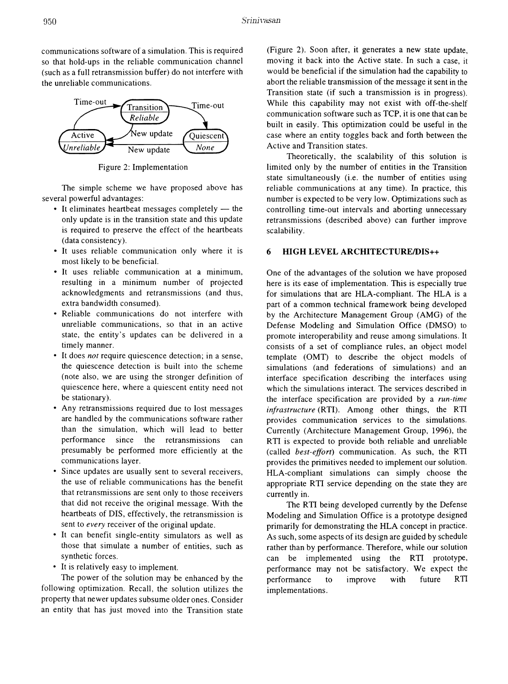communications software of a simulation. This is required so that hold-ups in the reliable communication channel (such as a full retransmission buffer) do not interfere with the unreliable communications.



Figure 2: Implementation

The simple scheme we have proposed above has several powerful advantages:

- $\bullet$  It eliminates heartbeat messages completely  $-$  the only update is in the transition state and this update is required to preserve the effect of the heartbeats (data consistency).
- It uses reliable communication only where it is most likely to be beneficial.
- It uses reliable communication at a minimum, resulting in a minimum number of projected acknowledgments and retransmissions (and thus, extra bandwidth consumed).
- Reliable communications do not interfere with unreliable communications, so that in an active state, the entity's updates can be delivered in a timely manner.
- It does *not* require quiescence detection; in a sense, the quiescence detection is built into the scheme (note also, we are using the stronger definition of quiescence here, where a quiescent entity need not be stationary).
- Any retransmissions required due to lost messages are handled by the communications software rather than the simulation, which will lead to better performance since the retransmissions can presumably be performed more efficiently at the communications layer.
- Since updates are usually sent to several receivers, the use of reliable communications has the benefit that retransmissions are sent only to those receivers that did not receive the original message. With the heartbeats of DIS, effectively, the retransmission is sent to *every* receiver of the original update.
- It can benefit single-entity simulators as well as those that simulate a number of entities, such as synthetic forces.
- It is relatively easy to implement.

The power of the solution may be enhanced by the following optimization. Recall, the solution utilizes the property that newer updates subsume older ones. Consider an entity that has just moved into the Transition state

(Figure 2). Soon after, it generates a new state update, moving it back into the Active state. In such a case, it would be beneficial if the simulation had the capability to abort the reliable transmission of the message it sent in the Transition state (if such a transmission is in progress). While this capability may not exist with off-the-shelf communication software such as TCP, it is one that can be built in easily. This optimization could be useful in the case where an entity toggles back and forth between the Active and Transition states.

Theoretically, the scalability of this solution is limited only by the number of entities in the Transition state simultaneously (i.e. the number of entities using reliable communications at any time). In practice, this number is expected to be very low. Optimizations such as controlling time-out intervals and aborting unnecessary retransmissions (described above) can further improve scalability.

### 6 HIGH LEVEL ARCHITECTURE/DIS++

One of the advantages of the solution we have proposed here is its ease of implementation. This is especially true for simulations that are HLA-compliant. The HLA is a part of a common technical framework being developed by the Architecture Management Group (AMG) of the Defense Modeling and Simulation Office (DMSO) to promote interoperability and reuse among simulations. It consists of a set of compliance rules, an object model template (OMT) to describe the object models of simulations (and federations of simulations) and an interface specification describing the interfaces using which the simulations interact. The services described in the interface specification are provided by a *run-time infrastructure* (RTI). Among other things, the RTI provides communication services to the simulations. Currently (Architecture Management Group, 1996), the RTI is expected to provide both reliable and unreliable (called *best-effort)* communication. As such, the RTI provides the primitives needed to implement our solution. HLA-compliant simulations can simply choose the appropriate RTI service depending on the state they are currently in.

The RTI being developed currently by the Defense Modeling and Simulation Office is a prototype designed primarily for demonstrating the HLA concept in practice. As such, some aspects of its design are guided by schedule rather than by performance. Therefore, while our solution can be implemented using the RTI prototype, performance may not be satisfactory. We expect the performance to improve with future RTI implementations.